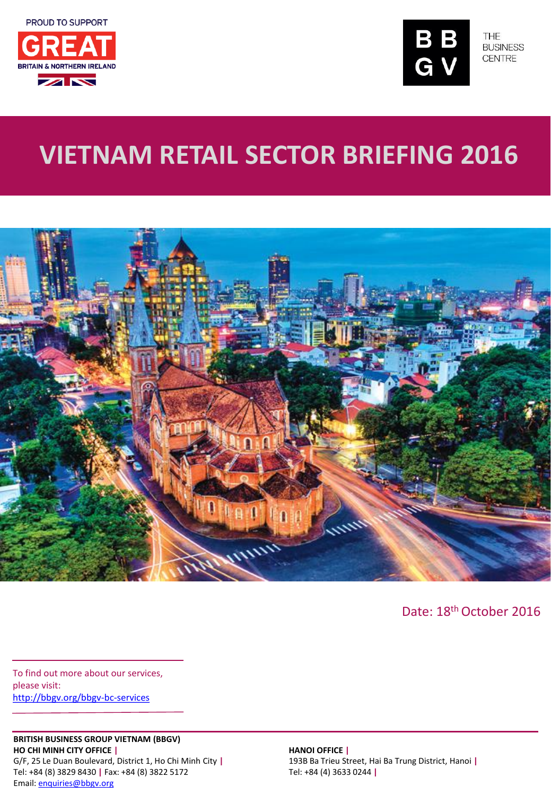



THE **BUSINESS CENTRE** 

# **VIETNAM RETAIL SECTOR BRIEFING 2016**



Date: 18th October 2016

To find out more about our services, please visit: <http://bbgv.org/bbgv-bc-services>

#### **BRITISH BUSINESS GROUP VIETNAM (BBGV) HO CHI MINH CITY OFFICE |**

G/F, 25 Le Duan Boulevard, District 1, Ho Chi Minh City **|** Tel: +84 (8) 3829 8430 **|** Fax: +84 (8) 3822 5172 Email: [enquiries@bbgv.org](mailto:enquiries@bbgv.org)

**HANOI OFFICE |** 193B Ba Trieu Street, Hai Ba Trung District, Hanoi **|** Tel: +84 (4) 3633 0244 **|**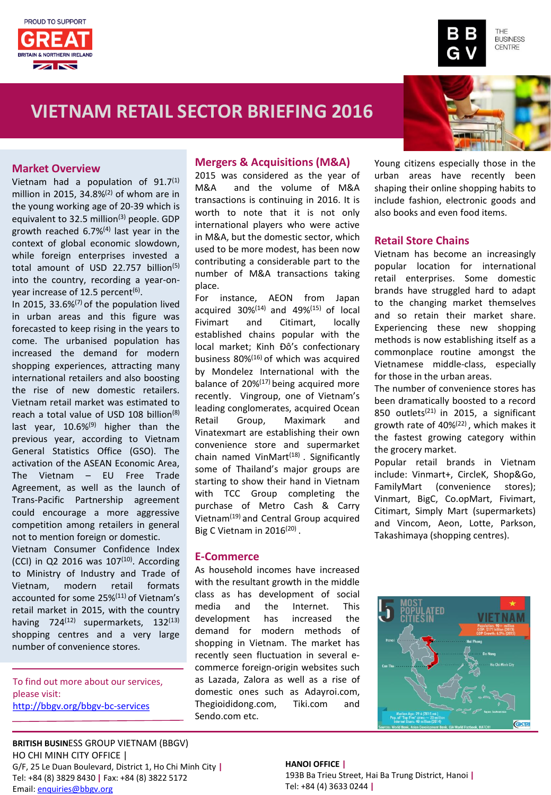



## **VIETNAM RETAIL SECTOR BRIEFING 2016**



#### **Market Overview**

Vietnam had a population of  $91.7<sup>(1)</sup>$ million in 2015, 34.8% $(2)$  of whom are in the young working age of 20-39 which is equivalent to 32.5 million<sup>(3)</sup> people. GDP growth reached 6.7%(4) last year in the context of global economic slowdown, while foreign enterprises invested a total amount of USD 22.757 billion<sup>(5)</sup> into the country, recording a year-onyear increase of 12.5 percent<sup>(6)</sup>.

In 2015, 33.6% $(7)$  of the population lived in urban areas and this figure was forecasted to keep rising in the years to come. The urbanised population has increased the demand for modern shopping experiences, attracting many international retailers and also boosting the rise of new domestic retailers. Vietnam retail market was estimated to reach a total value of USD 108 billion<sup>(8)</sup> last year, 10.6%<sup>(9)</sup> higher than the previous year, according to Vietnam General Statistics Office (GSO). The activation of the ASEAN Economic Area, The Vietnam – EU Free Trade Agreement, as well as the launch of Trans-Pacific Partnership agreement could encourage a more aggressive competition among retailers in general not to mention foreign or domestic.

Vietnam Consumer Confidence Index  $(CCI)$  in Q2 2016 was 107 $(10)$ . According to Ministry of Industry and Trade of Vietnam, modern retail formats accounted for some 25%(11) of Vietnam's retail market in 2015, with the country having 724<sup>(12)</sup> supermarkets, 132<sup>(13)</sup> shopping centres and a very large number of convenience stores.

To find out more about our services, please visit: <http://bbgv.org/bbgv-bc-services>

#### **Mergers & Acquisitions (M&A)**

2015 was considered as the year of M&A and the volume of M&A transactions is continuing in 2016. It is worth to note that it is not only international players who were active in M&A, but the domestic sector, which used to be more modest, has been now contributing a considerable part to the number of M&A transactions taking place.

For instance, AEON from Japan acquired  $30\%^{(14)}$  and  $49\%^{(15)}$  of local Fivimart and Citimart, locally established chains popular with the local market; Kinh Đô's confectionary business 80%(16) of which was acquired by Mondelez International with the balance of 20%(17) being acquired more recently. Vingroup, one of Vietnam's leading conglomerates, acquired Ocean Retail Group, Maximark and Vinatexmart are establishing their own convenience store and supermarket chain named VinMart<sup>(18)</sup>. Significantly some of Thailand's major groups are starting to show their hand in Vietnam with TCC Group completing the purchase of Metro Cash & Carry Vietnam(19) and Central Group acquired Big C Vietnam in  $2016^{(20)}$ .

#### **E-Commerce**

As household incomes have increased with the resultant growth in the middle class as has development of social media and the Internet. This development has increased the demand for modern methods of shopping in Vietnam. The market has recently seen fluctuation in several ecommerce foreign-origin websites such as Lazada, Zalora as well as a rise of domestic ones such as Adayroi.com, Thegioididong.com, Tiki.com and Sendo.com etc.

Young citizens especially those in the urban areas have recently been shaping their online shopping habits to include fashion, electronic goods and also books and even food items.

#### **Retail Store Chains**

Vietnam has become an increasingly popular location for international retail enterprises. Some domestic brands have struggled hard to adapt to the changing market themselves and so retain their market share. Experiencing these new shopping methods is now establishing itself as a commonplace routine amongst the Vietnamese middle-class, especially for those in the urban areas.

The number of convenience stores has been dramatically boosted to a record 850 outlets<sup>(21)</sup> in 2015, a significant growth rate of 40%(22) , which makes it the fastest growing category within the grocery market.

Popular retail brands in Vietnam include: Vinmart+, CircleK, Shop&Go, FamilyMart (convenience stores); Vinmart, BigC, Co.opMart, Fivimart, Citimart, Simply Mart (supermarkets) and Vincom, Aeon, Lotte, Parkson, Takashimaya (shopping centres).



**BRITISH BUSIN**ESS GROUP VIETNAM (BBGV) HO CHI MINH CITY OFFICE | G/F, 25 Le Duan Boulevard, District 1, Ho Chi Minh City **|** Tel: +84 (8) 3829 8430 **|** Fax: +84 (8) 3822 5172 Email: [enquiries@bbgv.org](mailto:enquiries@bbgv.org)

**HANOI OFFICE |**  193B Ba Trieu Street, Hai Ba Trung District, Hanoi **|** Tel: +84 (4) 3633 0244 **|**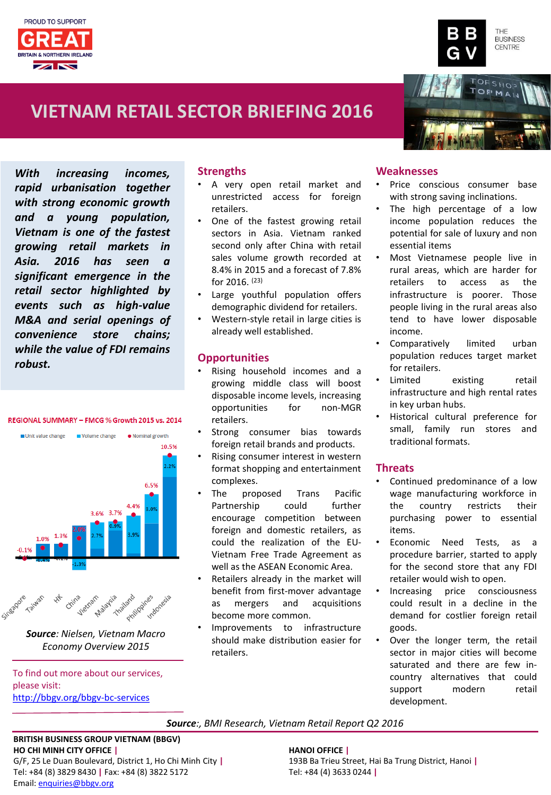



## **VIETNAM RETAIL SECTOR BRIEFING 2016**

*With increasing incomes, rapid urbanisation together with strong economic growth and a young population, Vietnam is one of the fastest growing retail markets in Asia. 2016 has seen a significant emergence in the retail sector highlighted by events such as high-value M&A and serial openings of convenience store chains; while the value of FDI remains robust.*

#### REGIONAL SUMMARY - FMCG % Growth 2015 vs. 2014





*Source: Nielsen, Vietnam Macro Economy Overview 2015*

To find out more about our services, please visit: <http://bbgv.org/bbgv-bc-services>

### **Strengths**

- A very open retail market and unrestricted access for foreign retailers.
- One of the fastest growing retail sectors in Asia. Vietnam ranked second only after China with retail sales volume growth recorded at 8.4% in 2015 and a forecast of 7.8% for 2016. (23)
- Large youthful population offers demographic dividend for retailers.
- Western-style retail in large cities is already well established.

#### **Opportunities**

- Rising household incomes and a growing middle class will boost disposable income levels, increasing opportunities for non-MGR retailers.
- Strong consumer bias towards foreign retail brands and products.
- Rising consumer interest in western format shopping and entertainment complexes.
- The proposed Trans Pacific Partnership could further encourage competition between foreign and domestic retailers, as could the realization of the EU-Vietnam Free Trade Agreement as well as the ASEAN Economic Area.
- Retailers already in the market will benefit from first-mover advantage as mergers and acquisitions become more common.
- Improvements to infrastructure should make distribution easier for retailers.

#### **Weaknesses**

- Price conscious consumer base with strong saving inclinations.
- The high percentage of a low income population reduces the potential for sale of luxury and non essential items
- Most Vietnamese people live in rural areas, which are harder for retailers to access as the infrastructure is poorer. Those people living in the rural areas also tend to have lower disposable income.
- Comparatively limited urban population reduces target market for retailers.
- Limited existing retail infrastructure and high rental rates in key urban hubs.
- Historical cultural preference for small, family run stores and traditional formats.

### **Threats**

- Continued predominance of a low wage manufacturing workforce in the country restricts their purchasing power to essential items.
- Economic Need Tests, as a procedure barrier, started to apply for the second store that any FDI retailer would wish to open.
- Increasing price consciousness could result in a decline in the demand for costlier foreign retail goods.
- Over the longer term, the retail sector in major cities will become saturated and there are few incountry alternatives that could support modern retail development.

#### *Source:, BMI Research, Vietnam Retail Report Q2 2016*

#### **BRITISH BUSINESS GROUP VIETNAM (BBGV) HO CHI MINH CITY OFFICE |**

G/F, 25 Le Duan Boulevard, District 1, Ho Chi Minh City **|** Tel: +84 (8) 3829 8430 **|** Fax: +84 (8) 3822 5172 Email: [enquiries@bbgv.org](mailto:enquiries@bbgv.org)

**HANOI OFFICE |** 193B Ba Trieu Street, Hai Ba Trung District, Hanoi **|** Tel: +84 (4) 3633 0244 **|**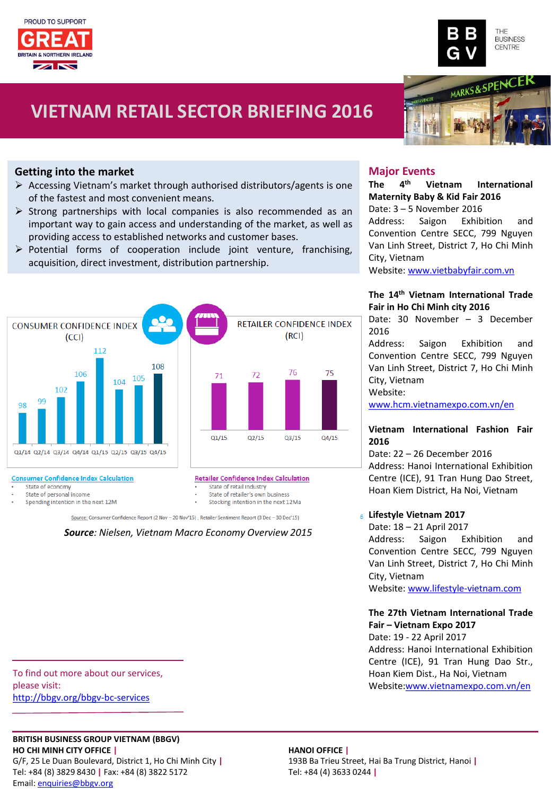



MARKS&SPENCE

## **VIETNAM RETAIL SECTOR BRIEFING 2016**

### **Getting into the market**

- $\triangleright$  Accessing Vietnam's market through authorised distributors/agents is one of the fastest and most convenient means.
- $\triangleright$  Strong partnerships with local companies is also recommended as an important way to gain access and understanding of the market, as well as providing access to established networks and customer bases.
- $\triangleright$  Potential forms of cooperation include joint venture, franchising, acquisition, direct investment, distribution partnership.



#### **Consumer Confidence Index Calculation**

State of economy

State of personal income

Spending intention in the next 12M

Source: Consumer Confidence Report (2 Nov - 20 Nov'15) ; Retailer Sentiment Report (3 Dec - 30 Dec'15)

State of retail industry State of retailer's own business

Stocking intention in the next 12Ma

### *Source: Nielsen, Vietnam Macro Economy Overview 2015*

#### **Major Events**

#### **The 4 th Vietnam International Maternity Baby & Kid Fair 2016**

Date: 3 – 5 November 2016 Address: Saigon Exhibition and Convention Centre SECC, 799 Nguyen Van Linh Street, District 7, Ho Chi Minh City, Vietnam

Website: [www.vietbabyfair.com.vn](http://www.vietbabyfair.com.vn/)

#### **The 14th Vietnam International Trade Fair in Ho Chi Minh city 2016**

Date: 30 November – 3 December 2016

Address: Saigon Exhibition and Convention Centre SECC, 799 Nguyen Van Linh Street, District 7, Ho Chi Minh City, Vietnam Website:

[www.hcm.vietnamexpo.com.vn/en](http://www.hcm.vietnamexpo.com.vn/en)

#### **Vietnam International Fashion Fair 2016**

Date: 22 – 26 December 2016 Address: Hanoi International Exhibition Centre (ICE), 91 Tran Hung Dao Street, Hoan Kiem District, Ha Noi, Vietnam

#### **Lifestyle Vietnam 2017**

Date: 18 – 21 April 2017 Address: Saigon Exhibition and Convention Centre SECC, 799 Nguyen Van Linh Street, District 7, Ho Chi Minh City, Vietnam Website: [www.lifestyle-vietnam.com](http://www.lifestyle-vietnam.com/)

#### **The 27th Vietnam International Trade Fair – Vietnam Expo 2017**

Date: 19 - 22 April 2017 Address: Hanoi International Exhibition Centre (ICE), 91 Tran Hung Dao Str., Hoan Kiem Dist., Ha Noi, Vietnam Website:[www.vietnamexpo.com.vn/en](http://www.vietnamexpo.com.vn/en)

To find out more about our services, please visit: <http://bbgv.org/bbgv-bc-services>

#### **BRITISH BUSINESS GROUP VIETNAM (BBGV) HO CHI MINH CITY OFFICE |**

G/F, 25 Le Duan Boulevard, District 1, Ho Chi Minh City **|** Tel: +84 (8) 3829 8430 **|** Fax: +84 (8) 3822 5172 Email: [enquiries@bbgv.org](mailto:enquiries@bbgv.org)

#### **HANOI OFFICE |**

193B Ba Trieu Street, Hai Ba Trung District, Hanoi **|** Tel: +84 (4) 3633 0244 **|**